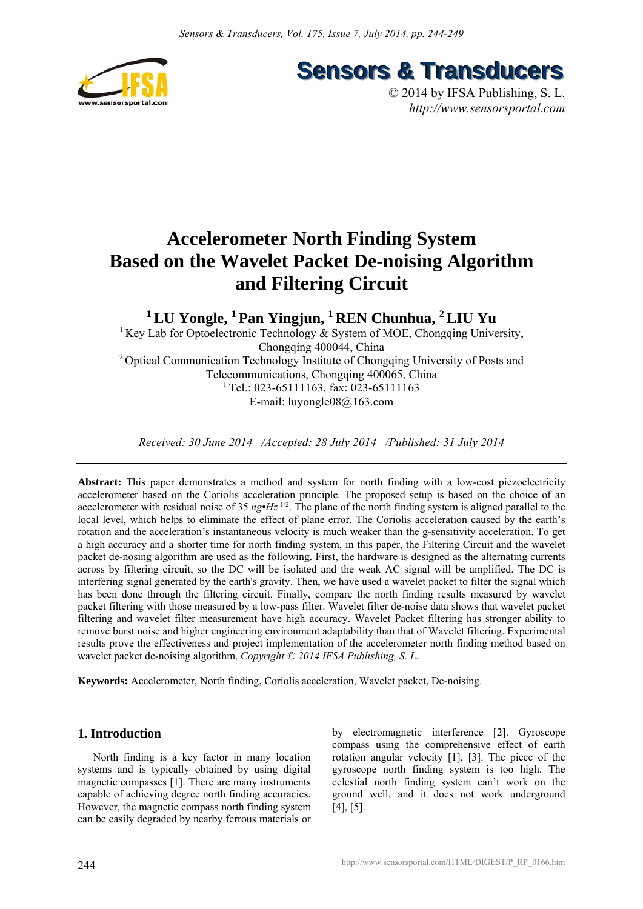

**Sensors & Transducers** 

© 2014 by IFSA Publishing, S. L. *http://www.sensorsportal.com*

# **Accelerometer North Finding System Based on the Wavelet Packet De-noising Algorithm and Filtering Circuit**

**1 LU Yongle, 1 Pan Yingjun, 1 REN Chunhua, 2 LIU Yu** 

<sup>1</sup> Key Lab for Optoelectronic Technology  $\&$  System of MOE, Chongqing University, Chongqing 400044, China 2 Optical Communication Technology Institute of Chongqing University of Posts and Telecommunications, Chongqing 400065, China  $1$ <sup>1</sup> Tel.: 023-65111163, fax: 023-65111163 E-mail: luyongle08@163.com

*Received: 30 June 2014 /Accepted: 28 July 2014 /Published: 31 July 2014* 

**Abstract:** This paper demonstrates a method and system for north finding with a low-cost piezoelectricity accelerometer based on the Coriolis acceleration principle. The proposed setup is based on the choice of an accelerometer with residual noise of 35  $n g \cdot Hz^{-1/2}$ . The plane of the north finding system is aligned parallel to the local level, which helps to eliminate the effect of plane error. The Coriolis acceleration caused by the earth's rotation and the acceleration's instantaneous velocity is much weaker than the g-sensitivity acceleration. To get a high accuracy and a shorter time for north finding system, in this paper, the Filtering Circuit and the wavelet packet de-nosing algorithm are used as the following. First, the hardware is designed as the alternating currents across by filtering circuit, so the DC will be isolated and the weak AC signal will be amplified. The DC is interfering signal generated by the earth's gravity. Then, we have used a wavelet packet to filter the signal which has been done through the filtering circuit. Finally, compare the north finding results measured by wavelet packet filtering with those measured by a low-pass filter. Wavelet filter de-noise data shows that wavelet packet filtering and wavelet filter measurement have high accuracy. Wavelet Packet filtering has stronger ability to remove burst noise and higher engineering environment adaptability than that of Wavelet filtering. Experimental results prove the effectiveness and project implementation of the accelerometer north finding method based on wavelet packet de-noising algorithm. *Copyright © 2014 IFSA Publishing, S. L.*

**Keywords:** Accelerometer, North finding, Coriolis acceleration, Wavelet packet, De-noising.

# **1. Introduction**

North finding is a key factor in many location systems and is typically obtained by using digital magnetic compasses [1]. There are many instruments capable of achieving degree north finding accuracies. However, the magnetic compass north finding system can be easily degraded by nearby ferrous materials or

by electromagnetic interference [2]. Gyroscope compass using the comprehensive effect of earth rotation angular velocity [1], [3]. The piece of the gyroscope north finding system is too high. The celestial north finding system can't work on the ground well, and it does not work underground [4], [5].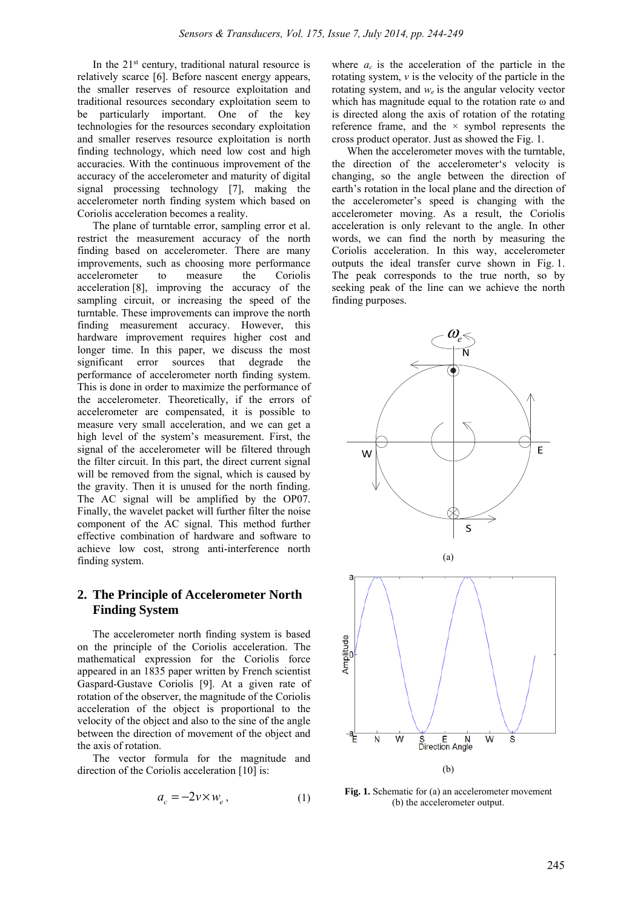In the  $21<sup>st</sup>$  century, traditional natural resource is relatively scarce [6]. Before nascent energy appears, the smaller reserves of resource exploitation and traditional resources secondary exploitation seem to be particularly important. One of the key technologies for the resources secondary exploitation and smaller reserves resource exploitation is north finding technology, which need low cost and high accuracies. With the continuous improvement of the accuracy of the accelerometer and maturity of digital signal processing technology [7], making the accelerometer north finding system which based on Coriolis acceleration becomes a reality.

The plane of turntable error, sampling error et al. restrict the measurement accuracy of the north finding based on accelerometer. There are many improvements, such as choosing more performance accelerometer to measure the Coriolis acceleration [8], improving the accuracy of the sampling circuit, or increasing the speed of the turntable. These improvements can improve the north finding measurement accuracy. However, this hardware improvement requires higher cost and longer time. In this paper, we discuss the most significant error sources that degrade the performance of accelerometer north finding system. This is done in order to maximize the performance of the accelerometer. Theoretically, if the errors of accelerometer are compensated, it is possible to measure very small acceleration, and we can get a high level of the system's measurement. First, the signal of the accelerometer will be filtered through the filter circuit. In this part, the direct current signal will be removed from the signal, which is caused by the gravity. Then it is unused for the north finding. The AC signal will be amplified by the OP07. Finally, the wavelet packet will further filter the noise component of the AC signal. This method further effective combination of hardware and software to achieve low cost, strong anti-interference north finding system.

# **2. The Principle of Accelerometer North Finding System**

The accelerometer north finding system is based on the principle of the Coriolis acceleration. The mathematical expression for the Coriolis force appeared in an 1835 paper written by French scientist Gaspard-Gustave Coriolis [9]. At a given rate of rotation of the observer, the magnitude of the Coriolis acceleration of the object is proportional to the velocity of the object and also to the sine of the angle between the direction of movement of the object and the axis of rotation.

The vector formula for the magnitude and direction of the Coriolis acceleration [10] is:

$$
a_c = -2\nu \times w_e, \qquad (1)
$$

where  $a_c$  is the acceleration of the particle in the rotating system, *v* is the velocity of the particle in the rotating system, and *we* is the angular velocity vector which has magnitude equal to the rotation rate  $\omega$  and is directed along the axis of rotation of the rotating reference frame, and the  $\times$  symbol represents the cross product operator. Just as showed the Fig. 1.

When the accelerometer moves with the turntable, the direction of the accelerometer's velocity is changing, so the angle between the direction of earth's rotation in the local plane and the direction of the accelerometer's speed is changing with the accelerometer moving. As a result, the Coriolis acceleration is only relevant to the angle. In other words, we can find the north by measuring the Coriolis acceleration. In this way, accelerometer outputs the ideal transfer curve shown in Fig. 1. The peak corresponds to the true north, so by seeking peak of the line can we achieve the north finding purposes.



**Fig. 1.** Schematic for (a) an accelerometer movement (b) the accelerometer output.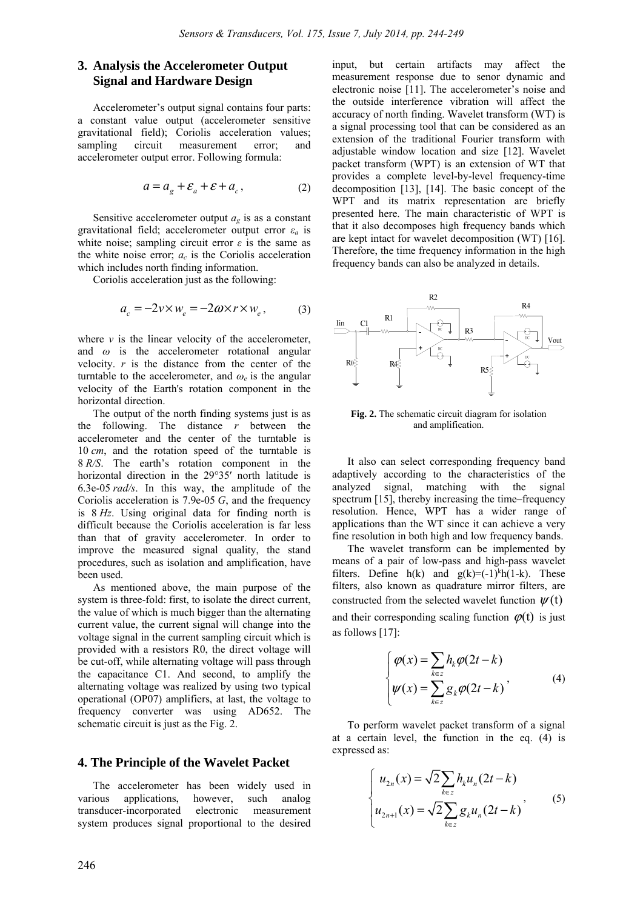# **3. Analysis the Accelerometer Output Signal and Hardware Design**

Accelerometer's output signal contains four parts: a constant value output (accelerometer sensitive gravitational field); Coriolis acceleration values; sampling circuit measurement error; and accelerometer output error. Following formula:

$$
a = a_g + \mathcal{E}_a + \mathcal{E} + a_c, \qquad (2)
$$

Sensitive accelerometer output *ag* is as a constant gravitational field; accelerometer output error *ε<sup>a</sup>* is white noise; sampling circuit error  $\varepsilon$  is the same as the white noise error;  $a_c$  is the Coriolis acceleration which includes north finding information.

Coriolis acceleration just as the following:

$$
a_c = -2v \times w_e = -2\omega \times r \times w_e, \qquad (3)
$$

where  $\nu$  is the linear velocity of the accelerometer, and *ω* is the accelerometer rotational angular velocity. *r* is the distance from the center of the turntable to the accelerometer, and  $\omega_e$  is the angular velocity of the Earth's rotation component in the horizontal direction.

The output of the north finding systems just is as the following. The distance *r* between the accelerometer and the center of the turntable is 10 *cm*, and the rotation speed of the turntable is 8 *R/S*. The earth's rotation component in the horizontal direction in the 29°35′ north latitude is 6.3e-05 *rad/s*. In this way, the amplitude of the Coriolis acceleration is 7.9e-05 *G*, and the frequency is 8 *Hz*. Using original data for finding north is difficult because the Coriolis acceleration is far less than that of gravity accelerometer. In order to improve the measured signal quality, the stand procedures, such as isolation and amplification, have been used.

As mentioned above, the main purpose of the system is three-fold: first, to isolate the direct current, the value of which is much bigger than the alternating current value, the current signal will change into the voltage signal in the current sampling circuit which is provided with a resistors R0, the direct voltage will be cut-off, while alternating voltage will pass through the capacitance C1. And second, to amplify the alternating voltage was realized by using two typical operational (OP07) amplifiers, at last, the voltage to frequency converter was using AD652. The schematic circuit is just as the Fig. 2.

# **4. The Principle of the Wavelet Packet**

The accelerometer has been widely used in various applications, however, such analog transducer-incorporated electronic measurement system produces signal proportional to the desired

input, but certain artifacts may affect the measurement response due to senor dynamic and electronic noise [11]. The accelerometer's noise and the outside interference vibration will affect the accuracy of north finding. Wavelet transform (WT) is a signal processing tool that can be considered as an extension of the traditional Fourier transform with adjustable window location and size [12]. Wavelet packet transform (WPT) is an extension of WT that provides a complete level-by-level frequency-time decomposition [13], [14]. The basic concept of the WPT and its matrix representation are briefly presented here. The main characteristic of WPT is that it also decomposes high frequency bands which are kept intact for wavelet decomposition (WT) [16]. Therefore, the time frequency information in the high frequency bands can also be analyzed in details.



**Fig. 2.** The schematic circuit diagram for isolation and amplification.

It also can select corresponding frequency band adaptively according to the characteristics of the analyzed signal, matching with the signal spectrum [15], thereby increasing the time–frequency resolution. Hence, WPT has a wider range of applications than the WT since it can achieve a very fine resolution in both high and low frequency bands.

The wavelet transform can be implemented by means of a pair of low-pass and high-pass wavelet filters. Define  $h(k)$  and  $g(k)=(-1)^k h(1-k)$ . These filters, also known as quadrature mirror filters, are constructed from the selected wavelet function  $\psi(t)$ and their corresponding scaling function  $\varphi(t)$  is just as follows [17]:

$$
\begin{cases}\n\varphi(x) = \sum_{k \in \mathbb{Z}} h_k \varphi(2t - k) \\
\psi(x) = \sum_{k \in \mathbb{Z}} g_k \varphi(2t - k)\n\end{cases} (4)
$$

To perform wavelet packet transform of a signal at a certain level, the function in the eq. (4) is expressed as:

$$
\begin{cases}\n u_{2n}(x) = \sqrt{2} \sum_{k \in \mathbb{Z}} h_k u_n(2t - k) \\
 u_{2n+1}(x) = \sqrt{2} \sum_{k \in \mathbb{Z}} g_k u_n(2t - k)\n\end{cases} (5)
$$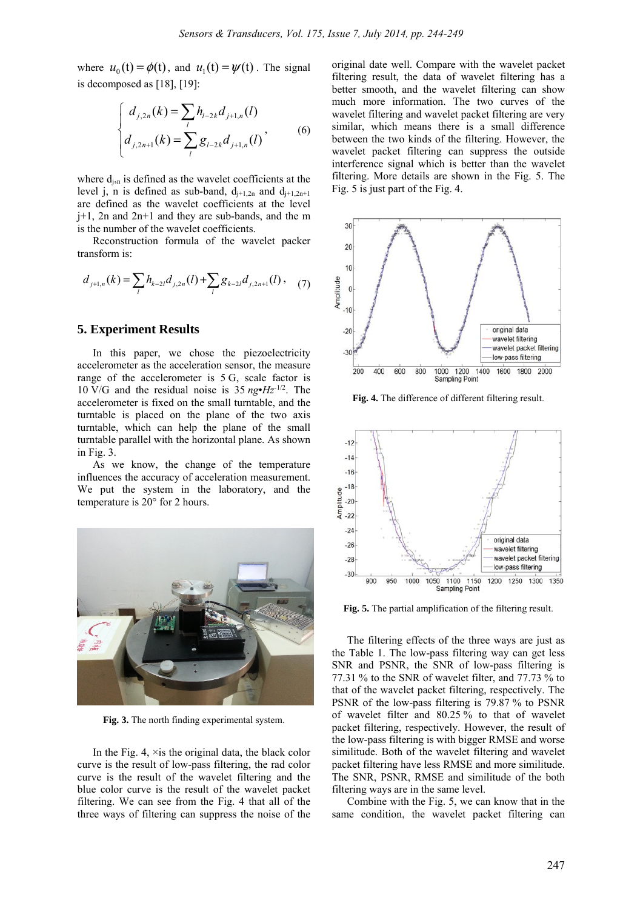where  $u_0(t) = \phi(t)$ , and  $u_1(t) = \psi(t)$ . The signal is decomposed as [18], [19]:

$$
\begin{cases} d_{j,2n}(k) = \sum_{l} h_{l-2k} d_{j+1,n}(l) \\ d_{j,2n+1}(k) = \sum_{l} g_{l-2k} d_{j+1,n}(l) \end{cases}
$$
 (6)

where  $d_{j,n}$  is defined as the wavelet coefficients at the level j, n is defined as sub-band,  $d_{j+1,2n}$  and  $d_{j+1,2n+1}$ are defined as the wavelet coefficients at the level j+1, 2n and 2n+1 and they are sub-bands, and the m is the number of the wavelet coefficients.

Reconstruction formula of the wavelet packer transform is:

$$
d_{j+1,n}(k) = \sum_{l} h_{k-2l} d_{j,2n}(l) + \sum_{l} g_{k-2l} d_{j,2n+1}(l) \,, \quad (7)
$$

## **5. Experiment Results**

In this paper, we chose the piezoelectricity accelerometer as the acceleration sensor, the measure range of the accelerometer is 5 G, scale factor is 10 V/G and the residual noise is 35 *ng*•*Hz*-1/2. The accelerometer is fixed on the small turntable, and the turntable is placed on the plane of the two axis turntable, which can help the plane of the small turntable parallel with the horizontal plane. As shown in Fig. 3.

As we know, the change of the temperature influences the accuracy of acceleration measurement. We put the system in the laboratory, and the temperature is 20° for 2 hours.



**Fig. 3.** The north finding experimental system.

In the Fig. 4,  $\times$  is the original data, the black color curve is the result of low-pass filtering, the rad color curve is the result of the wavelet filtering and the blue color curve is the result of the wavelet packet filtering. We can see from the Fig. 4 that all of the three ways of filtering can suppress the noise of the original date well. Compare with the wavelet packet filtering result, the data of wavelet filtering has a better smooth, and the wavelet filtering can show much more information. The two curves of the wavelet filtering and wavelet packet filtering are very similar, which means there is a small difference between the two kinds of the filtering. However, the wavelet packet filtering can suppress the outside interference signal which is better than the wavelet filtering. More details are shown in the Fig. 5. The Fig. 5 is just part of the Fig. 4.



**Fig. 4.** The difference of different filtering result.



**Fig. 5.** The partial amplification of the filtering result.

The filtering effects of the three ways are just as the Table 1. The low-pass filtering way can get less SNR and PSNR, the SNR of low-pass filtering is 77.31 % to the SNR of wavelet filter, and 77.73 % to that of the wavelet packet filtering, respectively. The PSNR of the low-pass filtering is 79.87 % to PSNR of wavelet filter and 80.25 % to that of wavelet packet filtering, respectively. However, the result of the low-pass filtering is with bigger RMSE and worse similitude. Both of the wavelet filtering and wavelet packet filtering have less RMSE and more similitude. The SNR, PSNR, RMSE and similitude of the both filtering ways are in the same level.

Combine with the Fig. 5, we can know that in the same condition, the wavelet packet filtering can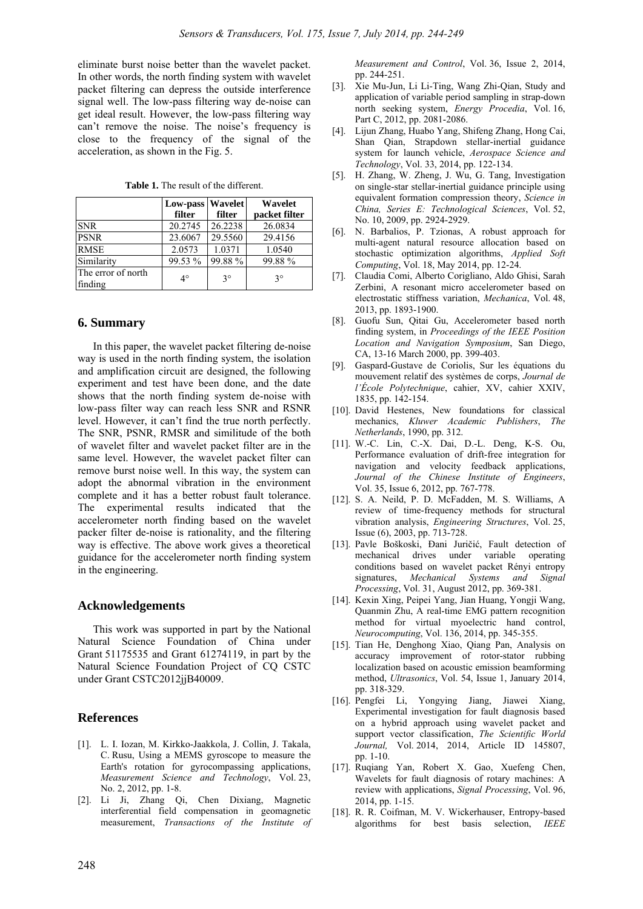eliminate burst noise better than the wavelet packet. In other words, the north finding system with wavelet packet filtering can depress the outside interference signal well. The low-pass filtering way de-noise can get ideal result. However, the low-pass filtering way can't remove the noise. The noise's frequency is close to the frequency of the signal of the acceleration, as shown in the Fig. 5.

|                               | Low-pass Wavelet<br>filter | filter      | Wavelet<br>packet filter |
|-------------------------------|----------------------------|-------------|--------------------------|
| <b>SNR</b>                    | 20.2745                    | 26.2238     | 26.0834                  |
| <b>PSNR</b>                   | 23.6067                    | 29.5560     | 29.4156                  |
| <b>RMSE</b>                   | 2.0573                     | 1.0371      | 1.0540                   |
| Similarity                    | 99.53 %                    | 99.88%      | 99.88%                   |
| The error of north<br>finding | $4^\circ$                  | $3^{\circ}$ | $3^{\circ}$              |

**Table 1.** The result of the different.

### **6. Summary**

In this paper, the wavelet packet filtering de-noise way is used in the north finding system, the isolation and amplification circuit are designed, the following experiment and test have been done, and the date shows that the north finding system de-noise with low-pass filter way can reach less SNR and RSNR level. However, it can't find the true north perfectly. The SNR, PSNR, RMSR and similitude of the both of wavelet filter and wavelet packet filter are in the same level. However, the wavelet packet filter can remove burst noise well. In this way, the system can adopt the abnormal vibration in the environment complete and it has a better robust fault tolerance. The experimental results indicated that the accelerometer north finding based on the wavelet packer filter de-noise is rationality, and the filtering way is effective. The above work gives a theoretical guidance for the accelerometer north finding system in the engineering.

### **Acknowledgements**

This work was supported in part by the National Natural Science Foundation of China under Grant 51175535 and Grant 61274119, in part by the Natural Science Foundation Project of CQ CSTC under Grant CSTC2012jjB40009.

## **References**

- [1]. L. I. Iozan, M. Kirkko-Jaakkola, J. Collin, J. Takala, C. Rusu, Using a MEMS gyroscope to measure the Earth's rotation for gyrocompassing applications, *Measurement Science and Technology*, Vol. 23, No. 2, 2012, pp. 1-8.
- [2]. Li Ji, Zhang Qi, Chen Dixiang, Magnetic interferential field compensation in geomagnetic measurement, *Transactions of the Institute of*

*Measurement and Control*, Vol. 36, Issue 2, 2014, pp. 244-251.

- [3]. Xie Mu-Jun, Li Li-Ting, Wang Zhi-Qian, Study and application of variable period sampling in strap-down north seeking system, *Energy Procedia*, Vol. 16, Part C, 2012, pp. 2081-2086.
- [4]. Lijun Zhang, Huabo Yang, Shifeng Zhang, Hong Cai, Shan Qian, Strapdown stellar-inertial guidance system for launch vehicle, *Aerospace Science and Technology*, Vol. 33, 2014, pp. 122-134.
- [5]. H. Zhang, W. Zheng, J. Wu, G. Tang, Investigation on single-star stellar-inertial guidance principle using equivalent formation compression theory, *Science in China, Series E: Technological Sciences*, Vol. 52, No. 10, 2009, pp. 2924-2929.
- [6]. N. Barbalios, P. Tzionas, A robust approach for multi-agent natural resource allocation based on stochastic optimization algorithms, *Applied Soft Computing*, Vol. 18, May 2014, pp. 12-24.
- [7]. Claudia Comi, Alberto Corigliano, Aldo Ghisi, Sarah Zerbini, A resonant micro accelerometer based on electrostatic stiffness variation, *Mechanica*, Vol. 48, 2013, pp. 1893-1900.
- [8]. Guofu Sun, Qitai Gu, Accelerometer based north finding system, in *Proceedings of the IEEE Position Location and Navigation Symposium*, San Diego, CA, 13-16 March 2000, pp. 399-403.
- [9]. Gaspard-Gustave de Coriolis, Sur les équations du mouvement relatif des systèmes de corps, *Journal de l'École Polytechnique*, cahier, XV, cahier XXIV, 1835, pp. 142-154.
- [10]. David Hestenes, New foundations for classical mechanics, *Kluwer Academic Publishers*, *The Netherlands*, 1990, pp. 312.
- [11]. W.-C. Lin, C.-X. Dai, D.-L. Deng, K-S. Ou, Performance evaluation of drift-free integration for navigation and velocity feedback applications, *Journal of the Chinese Institute of Engineers*, Vol. 35, Issue 6, 2012, pp. 767-778.
- [12]. S. A. Neild, P. D. McFadden, M. S. Williams, A review of time-frequency methods for structural vibration analysis, *Engineering Structures*, Vol. 25, Issue (6), 2003, pp. 713-728.
- [13]. Pavle Boškoski, Đani Juričić, Fault detection of mechanical drives under variable operating conditions based on wavelet packet Rényi entropy signatures, *Mechanical Systems and Signal Processing*, Vol. 31, August 2012, pp. 369-381.
- [14]. Kexin Xing, Peipei Yang, Jian Huang, Yongii Wang, Quanmin Zhu, A real-time EMG pattern recognition method for virtual myoelectric hand control, *Neurocomputing*, Vol. 136, 2014, pp. 345-355.
- [15]. Tian He, Denghong Xiao, Qiang Pan, Analysis on accuracy improvement of rotor-stator rubbing localization based on acoustic emission beamforming method, *Ultrasonics*, Vol. 54, Issue 1, January 2014, pp. 318-329.
- [16]. Pengfei Li, Yongying Jiang, Jiawei Xiang, Experimental investigation for fault diagnosis based on a hybrid approach using wavelet packet and support vector classification, *The Scientific World Journal,* Vol. 2014, 2014, Article ID 145807, pp. 1-10.
- [17]. Ruqiang Yan, Robert X. Gao, Xuefeng Chen, Wavelets for fault diagnosis of rotary machines: A review with applications, *Signal Processing*, Vol. 96, 2014, pp. 1-15.
- [18]. R. R. Coifman, M. V. Wickerhauser, Entropy-based algorithms for best basis selection, *IEEE*